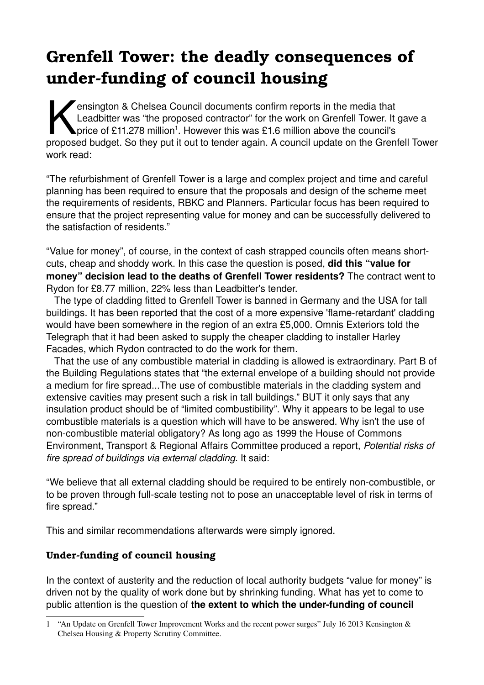# **Grenfell Tower: the deadly consequences of** under-funding of council housing

**Pensington & Chelsea Council documents confirm reports in the media that** Leadbitter was "the proposed contractor" for the work on Grenfell Tower. It gave a price of £[1](#page-0-0)1.278 million<sup>1</sup>. However this was £1.6 million above the council's ensington & Chelsea Council documents confirm reports in the media that<br>Leadbitter was "the proposed contractor" for the work on Grenfell Tower. It gave a<br>proposed budget. So they put it out to tender again. A council upda work read:

"The refurbishment of Grenfell Tower is a large and complex project and time and careful planning has been required to ensure that the proposals and design of the scheme meet the requirements of residents, RBKC and Planners. Particular focus has been required to ensure that the project representing value for money and can be successfully delivered to the satisfaction of residents."

"Value for money", of course, in the context of cash strapped councils often means shortcuts, cheap and shoddy work. In this case the question is posed, **did this "value for money" decision lead to the deaths of Grenfell Tower residents?** The contract went to Rydon for £8.77 million, 22% less than Leadbitter's tender.

 The type of cladding fitted to Grenfell Tower is banned in Germany and the USA for tall buildings. It has been reported that the cost of a more expensive 'flame-retardant' cladding would have been somewhere in the region of an extra £5,000. Omnis Exteriors told the Telegraph that it had been asked to supply the cheaper cladding to installer Harley Facades, which Rydon contracted to do the work for them.

 That the use of any combustible material in cladding is allowed is extraordinary. Part B of the Building Regulations states that "the external envelope of a building should not provide a medium for fire spread...The use of combustible materials in the cladding system and extensive cavities may present such a risk in tall buildings." BUT it only says that any insulation product should be of "limited combustibility". Why it appears to be legal to use combustible materials is a question which will have to be answered. Why isn't the use of non-combustible material obligatory? As long ago as 1999 the House of Commons Environment, Transport & Regional Affairs Committee produced a report, *Potential risks of fire spread of buildings via external cladding*. It said:

"We believe that all external cladding should be required to be entirely non-combustible, or to be proven through full-scale testing not to pose an unacceptable level of risk in terms of fire spread."

This and similar recommendations afterwards were simply ignored.

## **Under-funding of council housing**

In the context of austerity and the reduction of local authority budgets "value for money" is driven not by the quality of work done but by shrinking funding. What has yet to come to public attention is the question of the extent to which the under-funding of council

<span id="page-0-0"></span><sup>1</sup> "An Update on Grenfell Tower Improvement Works and the recent power surges" July 16 2013 Kensington & Chelsea Housing & Property Scrutiny Committee.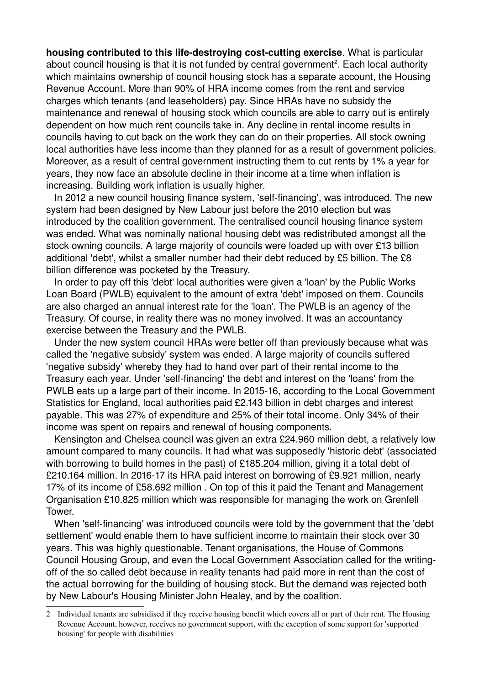**housing contributed to this life-destroving cost-cutting exercise.** What is particular about council housing is that it is not funded by central government<sup>[2](#page-1-0)</sup>. Each local authority which maintains ownership of council housing stock has a separate account, the Housing Revenue Account. More than 90% of HRA income comes from the rent and service charges which tenants (and leaseholders) pay. Since HRAs have no subsidy the maintenance and renewal of housing stock which councils are able to carry out is entirely dependent on how much rent councils take in. Any decline in rental income results in councils having to cut back on the work they can do on their properties. All stock owning local authorities have less income than they planned for as a result of government policies. Moreover, as a result of central government instructing them to cut rents by 1% a year for years, they now face an absolute decline in their income at a time when inflation is increasing. Building work inflation is usually higher.

In 2012 a new council housing finance system, 'self-financing', was introduced. The new system had been designed by New Labour just before the 2010 election but was introduced by the coalition government. The centralised council housing finance system was ended. What was nominally national housing debt was redistributed amongst all the stock owning councils. A large majority of councils were loaded up with over £13 billion additional 'debt', whilst a smaller number had their debt reduced by £5 billion. The £8 billion difference was pocketed by the Treasury.

 In order to pay off this 'debt' local authorities were given a 'loan' by the Public Works Loan Board (PWLB) equivalent to the amount of extra 'debt' imposed on them. Councils are also charged an annual interest rate for the 'loan'. The PWLB is an agency of the Treasury. Of course, in reality there was no money involved. It was an accountancy exercise between the Treasury and the PWLB.

 Under the new system council HRAs were better off than previously because what was called the 'negative subsidy' system was ended. A large majority of councils suffered 'negative subsidy' whereby they had to hand over part of their rental income to the Treasury each year. Under 'self-financing' the debt and interest on the 'loans' from the PWLB eats up a large part of their income. In 2015-16, according to the Local Government Statistics for England, local authorities paid £2.143 billion in debt charges and interest payable. This was 27% of expenditure and 25% of their total income. Only 34% of their income was spent on repairs and renewal of housing components.

 Kensington and Chelsea council was given an extra £24.960 million debt, a relatively low amount compared to many councils. It had what was supposedly 'historic debt' (associated with borrowing to build homes in the past) of £185.204 million, giving it a total debt of £210.164 million. In 2016-17 its HRA paid interest on borrowing of £9.921 million, nearly 17% of its income of £58.692 million . On top of this it paid the Tenant and Management Organisation £10.825 million which was responsible for managing the work on Grenfell Tower.

When 'self-financing' was introduced councils were told by the government that the 'debt settlement' would enable them to have sufficient income to maintain their stock over 30 years. This was highly questionable. Tenant organisations, the House of Commons Council Housing Group, and even the Local Government Association called for the writingoff of the so called debt because in reality tenants had paid more in rent than the cost of the actual borrowing for the building of housing stock. But the demand was rejected both by New Labour's Housing Minister John Healey, and by the coalition.

<span id="page-1-0"></span><sup>2</sup> Individual tenants are subsidised if they receive housing benefit which covers all or part of their rent. The Housing Revenue Account, however, receives no government support, with the exception of some support for 'supported housing' for people with disabilities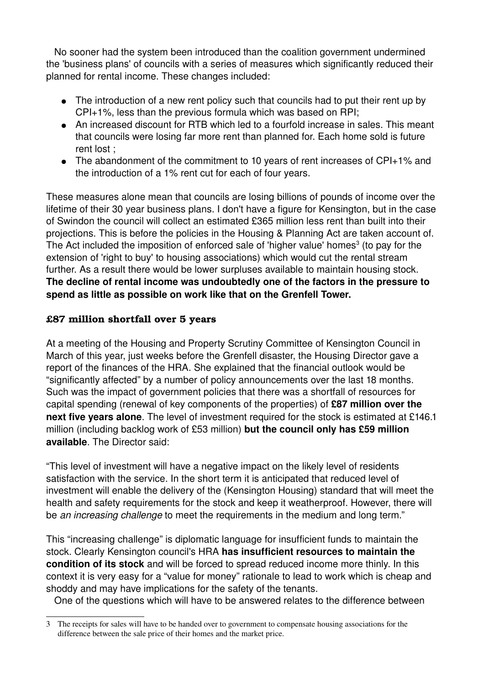No sooner had the system been introduced than the coalition government undermined the 'business plans' of councils with a series of measures which significantly reduced their planned for rental income. These changes included:

- The introduction of a new rent policy such that councils had to put their rent up by CPI+1%, less than the previous formula which was based on RPI;
- An increased discount for RTB which led to a fourfold increase in sales. This meant that councils were losing far more rent than planned for. Each home sold is future rent lost ;
- The abandonment of the commitment to 10 years of rent increases of CPI+1% and the introduction of a 1% rent cut for each of four years.

These measures alone mean that councils are losing billions of pounds of income over the lifetime of their 30 year business plans. I don't have a figure for Kensington, but in the case of Swindon the council will collect an estimated £365 million less rent than built into their projections. This is before the policies in the Housing & Planning Act are taken account of. The Act included the imposition of enforced sale of 'higher value' homes $3$  (to pay for the extension of 'right to buy' to housing associations) which would cut the rental stream further. As a result there would be lower surpluses available to maintain housing stock. **The decline of rental income was undoubtedly one of the factors in the pressure to spend as little as possible on work like that on the Grenfell Tower.**

# **£87 million shortfall over 5 years**

At a meeting of the Housing and Property Scrutiny Committee of Kensington Council in March of this year, just weeks before the Grenfell disaster, the Housing Director gave a report of the finances of the HRA. She explained that the financial outlook would be "significantly affected" by a number of policy announcements over the last 18 months. Such was the impact of government policies that there was a shortfall of resources for capital spending (renewal of key components of the properties) of **£87 million over the next five years alone**. The level of investment required for the stock is estimated at £146.1 million (including backlog work of £53 million) **but the council only has £59 million available**. The Director said:

"This level of investment will have a negative impact on the likely level of residents satisfaction with the service. In the short term it is anticipated that reduced level of investment will enable the delivery of the (Kensington Housing) standard that will meet the health and safety requirements for the stock and keep it weatherproof. However, there will be *an increasing challenge* to meet the requirements in the medium and long term."

This "increasing challenge" is diplomatic language for insufficient funds to maintain the stock. Clearly Kensington council's HRA **has insufficient resources to maintain the condition of its stock** and will be forced to spread reduced income more thinly. In this context it is very easy for a "value for money" rationale to lead to work which is cheap and shoddy and may have implications for the safety of the tenants.

One of the questions which will have to be answered relates to the difference between

<span id="page-2-0"></span><sup>3</sup> The receipts for sales will have to be handed over to government to compensate housing associations for the difference between the sale price of their homes and the market price.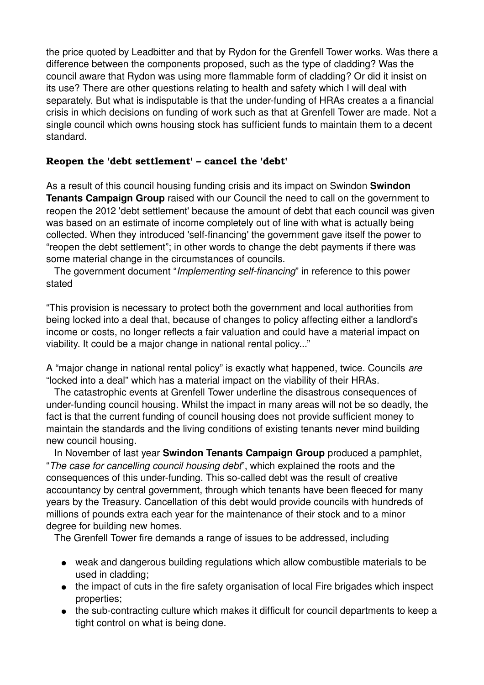the price quoted by Leadbitter and that by Rydon for the Grenfell Tower works. Was there a difference between the components proposed, such as the type of cladding? Was the council aware that Rydon was using more flammable form of cladding? Or did it insist on its use? There are other questions relating to health and safety which I will deal with separately. But what is indisputable is that the under-funding of HRAs creates a a financial crisis in which decisions on funding of work such as that at Grenfell Tower are made. Not a single council which owns housing stock has sufficient funds to maintain them to a decent standard.

## **Reopen the 'debt settlement' – cancel the 'debt'**

As a result of this council housing funding crisis and its impact on Swindon **Swindon Tenants Campaign Group** raised with our Council the need to call on the government to reopen the 2012 'debt settlement' because the amount of debt that each council was given was based on an estimate of income completely out of line with what is actually being collected. When they introduced 'self-financing' the government gave itself the power to "reopen the debt settlement"; in other words to change the debt payments if there was some material change in the circumstances of councils.

The government document "*Implementing self-financing*" in reference to this power stated

"This provision is necessary to protect both the government and local authorities from being locked into a deal that, because of changes to policy affecting either a landlord's income or costs, no longer reflects a fair valuation and could have a material impact on viability. It could be a major change in national rental policy..."

A "major change in national rental policy" is exactly what happened, twice. Councils *are* "locked into a deal" which has a material impact on the viability of their HRAs.

 The catastrophic events at Grenfell Tower underline the disastrous consequences of under-funding council housing. Whilst the impact in many areas will not be so deadly, the fact is that the current funding of council housing does not provide sufficient money to maintain the standards and the living conditions of existing tenants never mind building new council housing.

 In November of last year **Swindon Tenants Campaign Group** produced a pamphlet, "*The case for cancelling council housing debt*", which explained the roots and the consequences of this under-funding. This so-called debt was the result of creative accountancy by central government, through which tenants have been fleeced for many years by the Treasury. Cancellation of this debt would provide councils with hundreds of millions of pounds extra each year for the maintenance of their stock and to a minor degree for building new homes.

The Grenfell Tower fire demands a range of issues to be addressed, including

- weak and dangerous building regulations which allow combustible materials to be used in cladding;
- the impact of cuts in the fire safety organisation of local Fire brigades which inspect properties;
- the sub-contracting culture which makes it difficult for council departments to keep a tight control on what is being done.